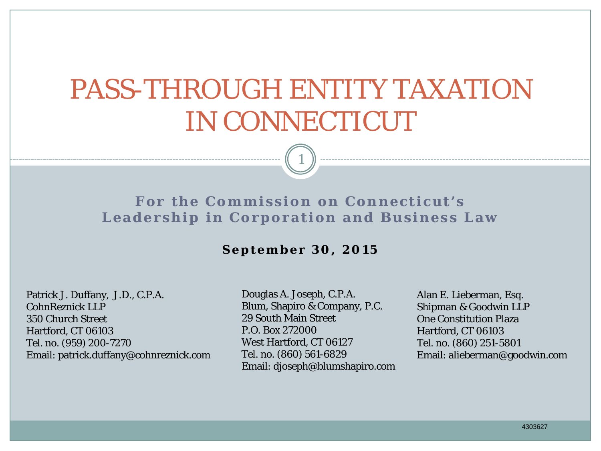# PASS-THROUGH ENTITY TAXATION IN CONNECTICUT

1

**For the Commission on Connecticut's Leadership in Corporation and Business Law**

#### **September 30, 2015**

Patrick J. Duffany, J.D., C.P.A. CohnReznick LLP 350 Church Street Hartford, CT 06103 Tel. no. (959) 200-7270 Email: patrick.duffany@cohnreznick.com

Douglas A. Joseph, C.P.A. Blum, Shapiro & Company, P.C. 29 South Main Street P.O. Box 272000 West Hartford, CT 06127 Tel. no. (860) 561-6829 Email: djoseph@blumshapiro.com Alan E. Lieberman, Esq. Shipman & Goodwin LLP One Constitution Plaza Hartford, CT 06103 Tel. no. (860) 251-5801 Email: alieberman@goodwin.com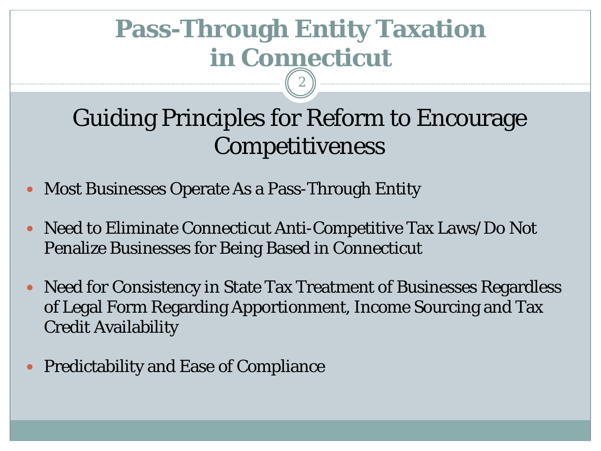## Guiding Principles for Reform to Encourage Competitiveness

- Most Businesses Operate As a Pass-Through Entity
- Need to Eliminate Connecticut Anti-Competitive Tax Laws/Do Not Penalize Businesses for Being Based in Connecticut
- Need for Consistency in State Tax Treatment of Businesses Regardless of Legal Form Regarding Apportionment, Income Sourcing and Tax Credit Availability
- Predictability and Ease of Compliance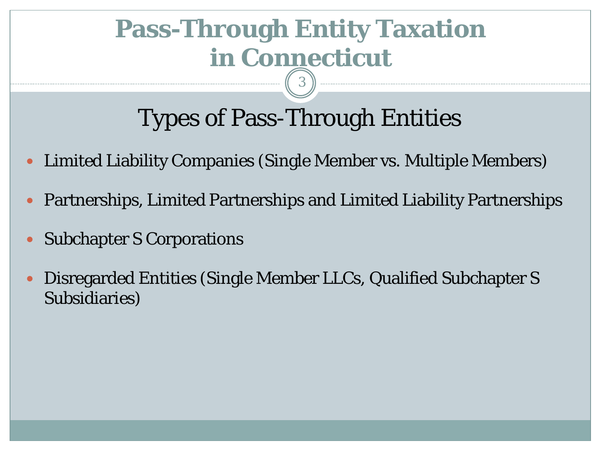3

## Types of Pass-Through Entities

- Limited Liability Companies (Single Member vs. Multiple Members)
- Partnerships, Limited Partnerships and Limited Liability Partnerships
- Subchapter S Corporations
- Disregarded Entities (Single Member LLCs, Qualified Subchapter S Subsidiaries)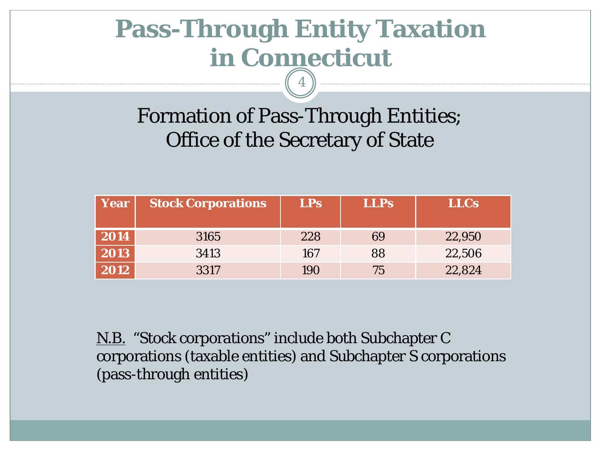4

### Formation of Pass-Through Entities; Office of the Secretary of State

| Year | <b>Stock Corporations</b> | LPs | <b>LLPs</b> | <b>LLCs</b> |
|------|---------------------------|-----|-------------|-------------|
| 2014 | 3165                      | 228 | 69          | 22,950      |
| 2013 | 3413                      | 167 | 88          | 22,506      |
| 2012 | 3317                      | 190 | 75          | 22,824      |

N.B. "Stock corporations" include both Subchapter C corporations (taxable entities) and Subchapter S corporations (pass-through entities)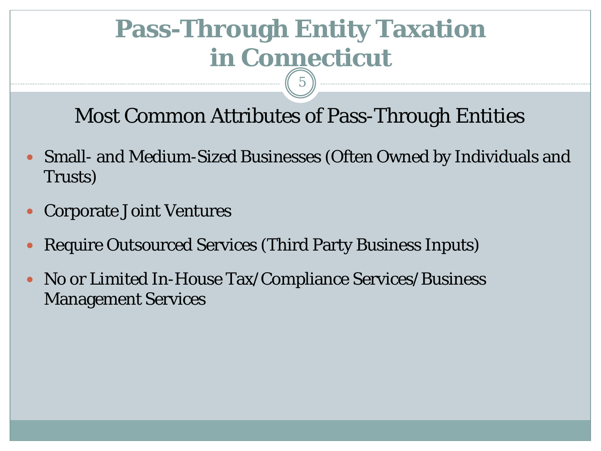Most Common Attributes of Pass-Through Entities

- Small- and Medium-Sized Businesses (Often Owned by Individuals and Trusts)
- Corporate Joint Ventures
- Require Outsourced Services (Third Party Business Inputs)
- No or Limited In-House Tax/Compliance Services/Business Management Services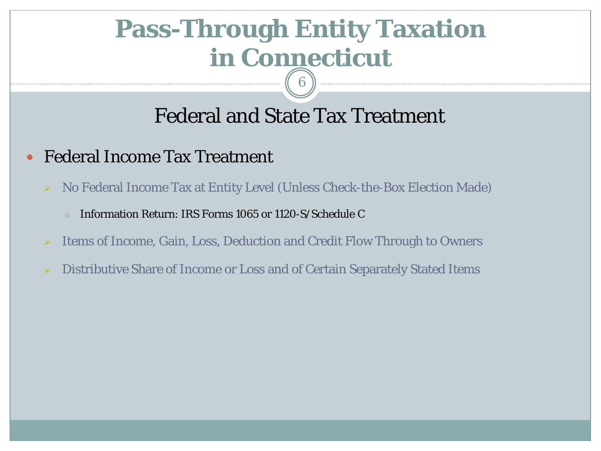#### Federal and State Tax Treatment

6

- Federal Income Tax Treatment
	- No Federal Income Tax at Entity Level (Unless Check-the-Box Election Made)
		- Information Return: IRS Forms 1065 or 1120-S/Schedule C
	- **EXECUTE:** 1 Items of Income, Gain, Loss, Deduction and Credit Flow Through to Owners
	- Distributive Share of Income or Loss and of Certain Separately Stated Items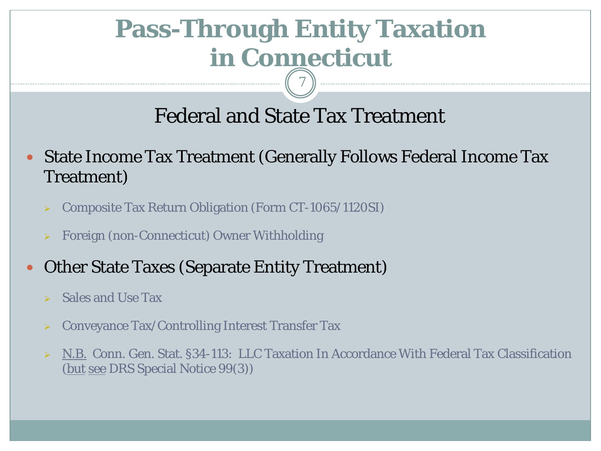#### Federal and State Tax Treatment

7

- State Income Tax Treatment (Generally Follows Federal Income Tax Treatment)
	- Composite Tax Return Obligation (Form CT-1065/1120SI)
	- Foreign (non-Connecticut) Owner Withholding
- Other State Taxes (Separate Entity Treatment)
	- Sales and Use Tax
	- Conveyance Tax/Controlling Interest Transfer Tax
	- N.B. Conn. Gen. Stat. §34-113: LLC Taxation In Accordance With Federal Tax Classification (but see DRS Special Notice 99(3))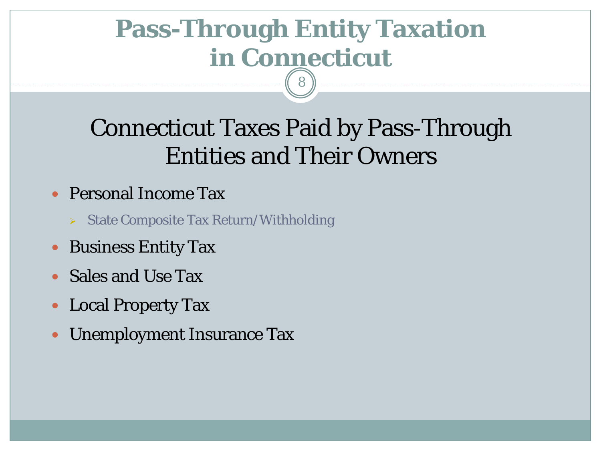## Connecticut Taxes Paid by Pass-Through Entities and Their Owners

- Personal Income Tax
	- State Composite Tax Return/Withholding
- Business Entity Tax
- Sales and Use Tax
- Local Property Tax
- Unemployment Insurance Tax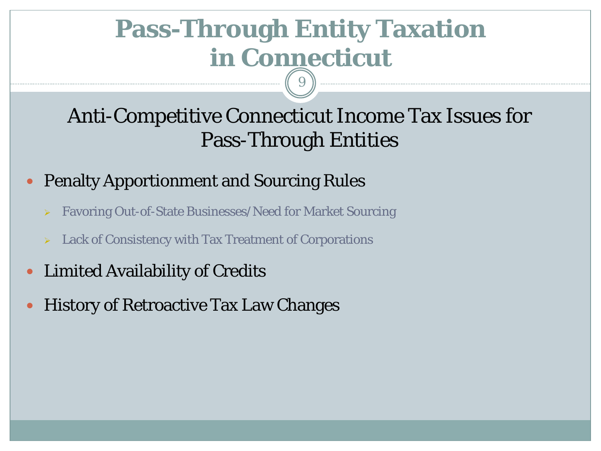### Anti-Competitive Connecticut Income Tax Issues for Pass-Through Entities

#### Penalty Apportionment and Sourcing Rules

- Favoring Out-of-State Businesses/Need for Market Sourcing
- $\triangleright$  Lack of Consistency with Tax Treatment of Corporations
- Limited Availability of Credits
- History of Retroactive Tax Law Changes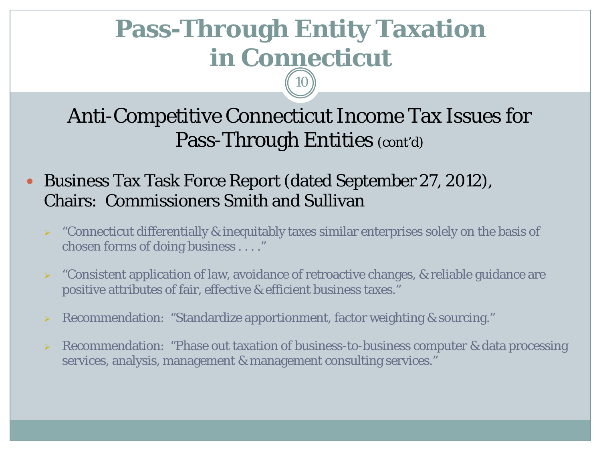Anti-Competitive Connecticut Income Tax Issues for Pass-Through Entities (cont'd)

- Business Tax Task Force Report (dated September 27, 2012), Chairs: Commissioners Smith and Sullivan
	- $\triangleright$  "Connecticut differentially & inequitably taxes similar enterprises solely on the basis of chosen forms of doing business . . . ."
	- $\triangleright$  "Consistent application of law, avoidance of retroactive changes, & reliable guidance are positive attributes of fair, effective & efficient business taxes."
	- Recommendation: "Standardize apportionment, factor weighting & sourcing."
	- $\triangleright$  Recommendation: "Phase out taxation of business-to-business computer & data processing services, analysis, management & management consulting services."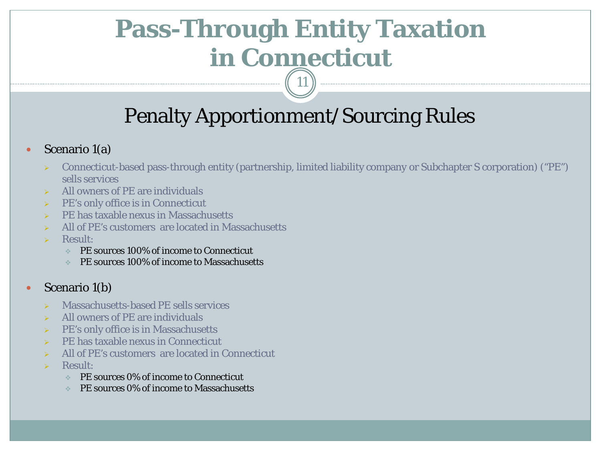## Penalty Apportionment/Sourcing Rules

11

#### • Scenario 1(a)

- Connecticut-based pass-through entity (partnership, limited liability company or Subchapter S corporation) ("PE") sells services
- All owners of PE are individuals
- $\triangleright$  PE's only office is in Connecticut
- $\triangleright$  PE has taxable nexus in Massachusetts
- $\triangleright$  All of PE's customers are located in Massachusetts
- $\triangleright$  Result:
	- PE sources 100% of income to Connecticut
	- PE sources 100% of income to Massachusetts

#### • Scenario 1(b)

- Massachusetts-based PE sells services
- All owners of PE are individuals
- PE's only office is in Massachusetts
- $\triangleright$  PE has taxable nexus in Connecticut
- $\triangleright$  All of PE's customers are located in Connecticut
- $\triangleright$  Result:
	- PE sources 0% of income to Connecticut
	- PE sources 0% of income to Massachusetts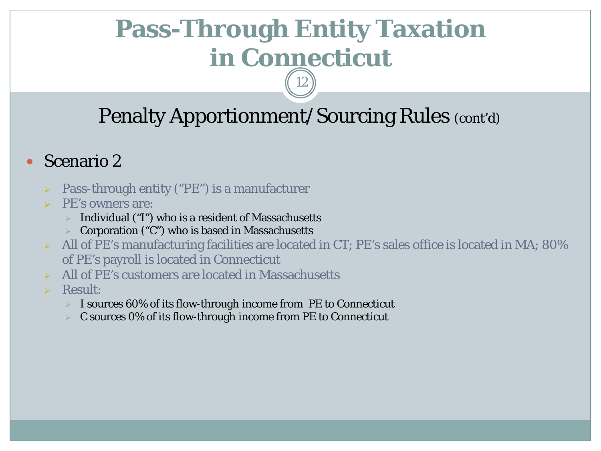## Penalty Apportionment/Sourcing Rules (cont'd)

12

#### Scenario 2

- Pass-through entity ("PE") is a manufacturer
- PE's owners are:
	- Individual ("I") who is a resident of Massachusetts
	- Corporation ("C") who is based in Massachusetts
- $\triangleright$  All of PE's manufacturing facilities are located in CT; PE's sales office is located in MA; 80% of PE's payroll is located in Connecticut
- $\triangleright$  All of PE's customers are located in Massachusetts
- > Result:
	- I sources 60% of its flow-through income from PE to Connecticut
	- C sources 0% of its flow-through income from PE to Connecticut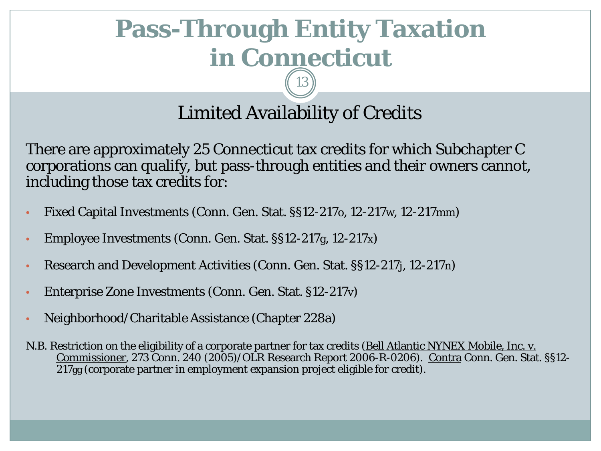#### Limited Availability of Credits

There are approximately 25 Connecticut tax credits for which Subchapter C corporations can qualify, but pass-through entities and their owners cannot, including those tax credits for:

- Fixed Capital Investments (Conn. Gen. Stat. §§12-217o, 12-217w, 12-217mm)
- Employee Investments (Conn. Gen. Stat. §§12-217g, 12-217x)
- Research and Development Activities (Conn. Gen. Stat. §§12-217j, 12-217n)
- Enterprise Zone Investments (Conn. Gen. Stat. §12-217v)
- Neighborhood/Charitable Assistance (Chapter 228a)
- N.B. Restriction on the eligibility of a corporate partner for tax credits (Bell Atlantic NYNEX Mobile, Inc. v. Commissioner, 273 Conn. 240 (2005)/OLR Research Report 2006-R-0206). Contra Conn. Gen. Stat. §§12- 217gg (corporate partner in employment expansion project eligible for credit).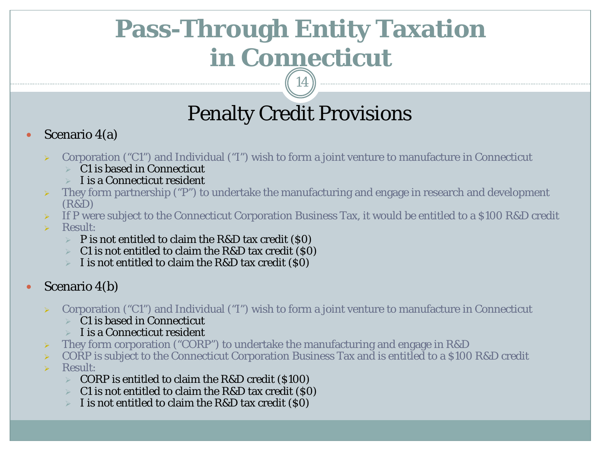## Penalty Credit Provisions

#### Scenario 4(a)

- $\triangleright$  Corporation ("C1") and Individual ("I") wish to form a joint venture to manufacture in Connecticut
	- $\triangleright$  C1 is based in Connecticut
	- $\triangleright$  I is a Connecticut resident
- They form partnership ("P") to undertake the manufacturing and engage in research and development (R&D)
- If P were subject to the Connecticut Corporation Business Tax, it would be entitled to a \$100 R&D credit
- $\triangleright$  Result:
	- $\triangleright$  P is not entitled to claim the R&D tax credit (\$0)
	- $\triangleright$  C1 is not entitled to claim the R&D tax credit (\$0)
	- I is not entitled to claim the R&D tax credit (\$0)
- Scenario 4(b)
	- Corporation ("C1") and Individual ("I") wish to form a joint venture to manufacture in Connecticut
		- $\triangleright$  C1 is based in Connecticut
		- $\triangleright$  I is a Connecticut resident
	- They form corporation ("CORP") to undertake the manufacturing and engage in R&D
	- CORP is subject to the Connecticut Corporation Business Tax and is entitled to a \$100 R&D credit
	- Result:
		- $\triangleright$  CORP is entitled to claim the R&D credit (\$100)
		- C1 is not entitled to claim the R&D tax credit (\$0)
		- I is not entitled to claim the R&D tax credit (\$0)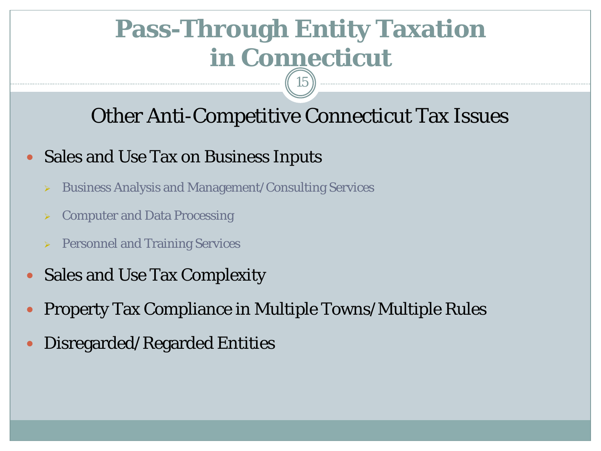### Other Anti-Competitive Connecticut Tax Issues

15

#### Sales and Use Tax on Business Inputs

- Business Analysis and Management/Consulting Services
- Computer and Data Processing
- **Personnel and Training Services**
- Sales and Use Tax Complexity
- Property Tax Compliance in Multiple Towns/Multiple Rules
- Disregarded/Regarded Entities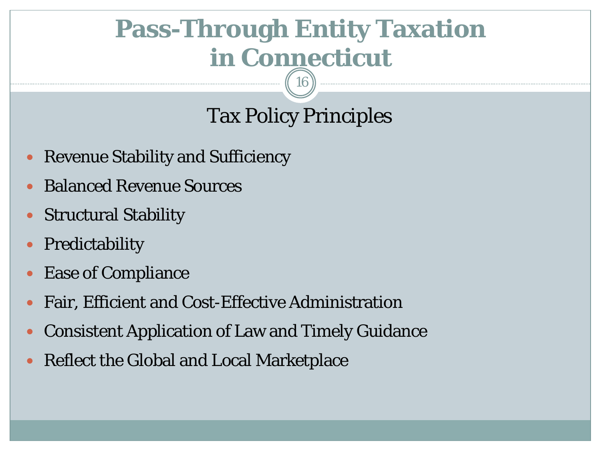16

## Tax Policy Principles

- Revenue Stability and Sufficiency
- Balanced Revenue Sources
- Structural Stability
- Predictability
- Ease of Compliance
- Fair, Efficient and Cost-Effective Administration
- Consistent Application of Law and Timely Guidance
- Reflect the Global and Local Marketplace